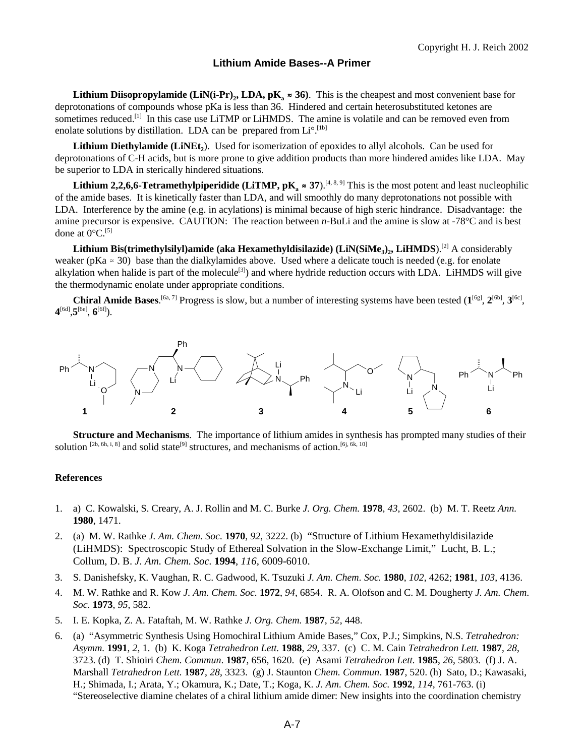## **Lithium Amide Bases--A Primer**

**Lithium Diisopropylamide (LiN(i-Pr)<sub>2</sub>, LDA, pK<sub>a</sub>**  $\approx$  **36). This is the cheapest and most convenient base for** deprotonations of compounds whose pKa is less than 36. Hindered and certain heterosubstituted ketones are sometimes reduced.<sup>[1]</sup> In this case use LiTMP or LiHMDS. The amine is volatile and can be removed even from enolate solutions by distillation. LDA can be prepared from Li°.<sup>[1b]</sup>

Lithium Diethylamide (LiNEt<sub>2</sub>). Used for isomerization of epoxides to allyl alcohols. Can be used for deprotonations of C-H acids, but is more prone to give addition products than more hindered amides like LDA. May be superior to LDA in sterically hindered situations.

**Lithium 2,2,6,6-Tetramethylpiperidide (LiTMP,**  $pK_a \approx 37$ **).<sup>[4, 8, 9]</sup> This is the most potent and least nucleophilic** of the amide bases. It is kinetically faster than LDA, and will smoothly do many deprotonations not possible with LDA. Interference by the amine (e.g. in acylations) is minimal because of high steric hindrance. Disadvantage: the amine precursor is expensive. CAUTION: The reaction between *n*-BuLi and the amine is slow at -78°C and is best done at  $0^{\circ}$ C.<sup>[5]</sup>

Lithium Bis(trimethylsilyl)amide (aka Hexamethyldisilazide) (LiN(SiMe<sub>3</sub>), LiHMDS).<sup>[2]</sup> A considerably weaker (pKa  $\approx$  30) base than the dialkylamides above. Used where a delicate touch is needed (e.g. for enolate alkylation when halide is part of the molecule<sup>[3]</sup>) and where hydride reduction occurs with LDA. LiHMDS will give the thermodynamic enolate under appropriate conditions.

**Chiral Amide Bases.** [6a, 7] Progress is slow, but a number of interesting systems have been tested  $(1^{[6g]}, 2^{[6b]}, 3^{[6c]},$ **4**[6d],**5**[6e], **6**[6f]).



**Structure and Mechanisms**. The importance of lithium amides in synthesis has prompted many studies of their solution  $[2b, 6h, i, 8]$  and solid state<sup>[9]</sup> structures, and mechanisms of action.<sup>[6j, 6k, 10]</sup>

## **References**

- 1. a) C. Kowalski, S. Creary, A. J. Rollin and M. C. Burke *J. Org. Chem.* **1978**, *43*, 2602. (b) M. T. Reetz *Ann.* **1980**, 1471.
- 2. (a) M. W. Rathke *J. Am. Chem. Soc.* **1970**, *92*, 3222. (b) "Structure of Lithium Hexamethyldisilazide (LiHMDS): Spectroscopic Study of Ethereal Solvation in the Slow-Exchange Limit," Lucht, B. L.; Collum, D. B. *J. Am. Chem. Soc.* **1994**, *116*, 6009-6010.
- 3. S. Danishefsky, K. Vaughan, R. C. Gadwood, K. Tsuzuki *J. Am. Chem. Soc.* **1980**, *102*, 4262; **1981**, *103*, 4136.
- 4. M. W. Rathke and R. Kow *J. Am. Chem. Soc.* **1972**, *94*, 6854. R. A. Olofson and C. M. Dougherty *J. Am. Chem. Soc.* **1973**, *95*, 582.
- 5. I. E. Kopka, Z. A. Fataftah, M. W. Rathke *J. Org. Chem.* **1987**, *52*, 448.
- 6. (a) "Asymmetric Synthesis Using Homochiral Lithium Amide Bases," Cox, P.J.; Simpkins, N.S. *Tetrahedron: Asymm.* **1991**, *2*, 1. (b) K. Koga *Tetrahedron Lett.* **1988**, *29*, 337. (c) C. M. Cain *Tetrahedron Lett.* **1987**, *28*, 3723. (d) T. Shioiri *Chem. Commun*. **1987**, 656, 1620. (e) Asami *Tetrahedron Lett.* **1985**, *26*, 5803. (f) J. A. Marshall *Tetrahedron Lett.* **1987**, *28*, 3323. (g) J. Staunton *Chem. Commun*. **1987**, 520. (h) Sato, D.; Kawasaki, H.; Shimada, I.; Arata, Y.; Okamura, K.; Date, T.; Koga, K. *J. Am. Chem. Soc.* **1992**, *114*, 761-763. (i) "Stereoselective diamine chelates of a chiral lithium amide dimer: New insights into the coordination chemistry